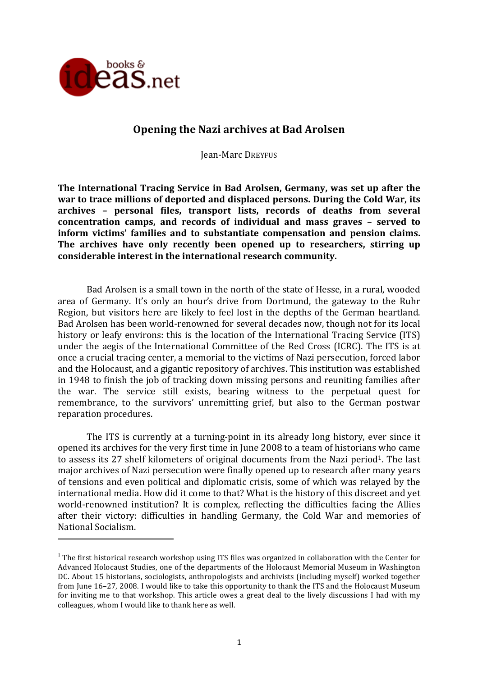

<u> 1989 - Johann Stein, fransk politik (d. 1989)</u>

# **Opening the Nazi archives at Bad Arolsen**

Jean-Marc DREYFUS

The International Tracing Service in Bad Arolsen, Germany, was set up after the war to trace millions of deported and displaced persons. During the Cold War, its archives - personal files, transport lists, records of deaths from several **concentration camps, and records of individual and mass graves – served to inform** victims' families and to substantiate compensation and pension claims. The archives have only recently been opened up to researchers, stirring up considerable interest in the international research community.

Bad Arolsen is a small town in the north of the state of Hesse, in a rural, wooded area of Germany. It's only an hour's drive from Dortmund, the gateway to the Ruhr Region, but visitors here are likely to feel lost in the depths of the German heartland. Bad Arolsen has been world-renowned for several decades now, though not for its local history or leafy environs: this is the location of the International Tracing Service (ITS) under the aegis of the International Committee of the Red Cross (ICRC). The ITS is at once a crucial tracing center, a memorial to the victims of Nazi persecution, forced labor and the Holocaust, and a gigantic repository of archives. This institution was established in 1948 to finish the job of tracking down missing persons and reuniting families after the war. The service still exists, bearing witness to the perpetual quest for remembrance, to the survivors' unremitting grief, but also to the German postwar reparation procedures.

The ITS is currently at a turning-point in its already long history, ever since it opened its archives for the very first time in June 2008 to a team of historians who came to assess its 27 shelf kilometers of original documents from the Nazi period<sup>1</sup>. The last major archives of Nazi persecution were finally opened up to research after many years of tensions and even political and diplomatic crisis, some of which was relayed by the international media. How did it come to that? What is the history of this discreet and yet world-renowned institution? It is complex, reflecting the difficulties facing the Allies after their victory: difficulties in handling Germany, the Cold War and memories of National Socialism.

 $1$  The first historical research workshop using ITS files was organized in collaboration with the Center for Advanced Holocaust Studies, one of the departments of the Holocaust Memorial Museum in Washington DC. About 15 historians, sociologists, anthropologists and archivists (including myself) worked together from Iune 16–27, 2008. I would like to take this opportunity to thank the ITS and the Holocaust Museum for inviting me to that workshop. This article owes a great deal to the lively discussions I had with my colleagues, whom I would like to thank here as well.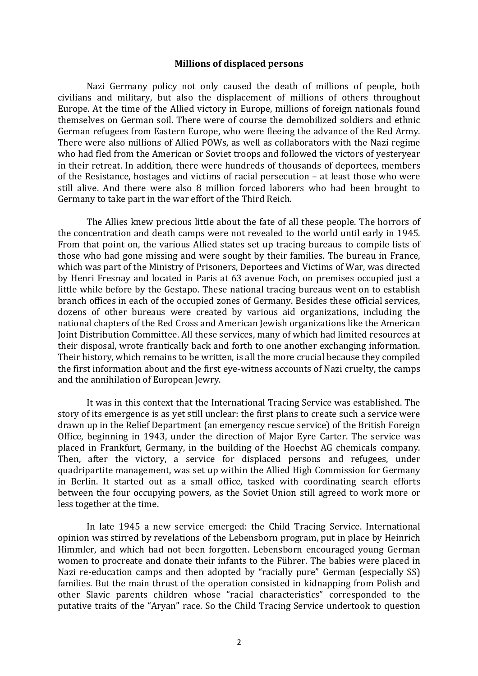#### **Millions of displaced persons**

Nazi Germany policy not only caused the death of millions of people, both civilians and military, but also the displacement of millions of others throughout Europe. At the time of the Allied victory in Europe, millions of foreign nationals found themselves on German soil. There were of course the demobilized soldiers and ethnic German refugees from Eastern Europe, who were fleeing the advance of the Red Army. There were also millions of Allied POWs, as well as collaborators with the Nazi regime who had fled from the American or Soviet troops and followed the victors of yesteryear in their retreat. In addition, there were hundreds of thousands of deportees, members of the Resistance, hostages and victims of racial persecution  $-$  at least those who were still alive. And there were also 8 million forced laborers who had been brought to Germany to take part in the war effort of the Third Reich.

The Allies knew precious little about the fate of all these people. The horrors of the concentration and death camps were not revealed to the world until early in 1945. From that point on, the various Allied states set up tracing bureaus to compile lists of those who had gone missing and were sought by their families. The bureau in France, which was part of the Ministry of Prisoners, Deportees and Victims of War, was directed by Henri Fresnay and located in Paris at 63 avenue Foch, on premises occupied just a little while before by the Gestapo. These national tracing bureaus went on to establish branch offices in each of the occupied zones of Germany. Besides these official services, dozens of other bureaus were created by various aid organizations, including the national chapters of the Red Cross and American Jewish organizations like the American Joint Distribution Committee. All these services, many of which had limited resources at their disposal, wrote frantically back and forth to one another exchanging information. Their history, which remains to be written, is all the more crucial because they compiled the first information about and the first eve-witness accounts of Nazi cruelty, the camps and the annihilation of European Jewry.

It was in this context that the International Tracing Service was established. The story of its emergence is as yet still unclear: the first plans to create such a service were drawn up in the Relief Department (an emergency rescue service) of the British Foreign Office, beginning in 1943, under the direction of Major Eyre Carter. The service was placed in Frankfurt, Germany, in the building of the Hoechst AG chemicals company. Then, after the victory, a service for displaced persons and refugees, under quadripartite management, was set up within the Allied High Commission for Germany in Berlin. It started out as a small office, tasked with coordinating search efforts between the four occupying powers, as the Soviet Union still agreed to work more or less together at the time.

In late 1945 a new service emerged: the Child Tracing Service. International opinion was stirred by revelations of the Lebensborn program, put in place by Heinrich Himmler, and which had not been forgotten. Lebensborn encouraged young German women to procreate and donate their infants to the Führer. The babies were placed in Nazi re-education camps and then adopted by "racially pure" German (especially SS) families. But the main thrust of the operation consisted in kidnapping from Polish and other Slavic parents children whose "racial characteristics" corresponded to the putative traits of the "Aryan" race. So the Child Tracing Service undertook to question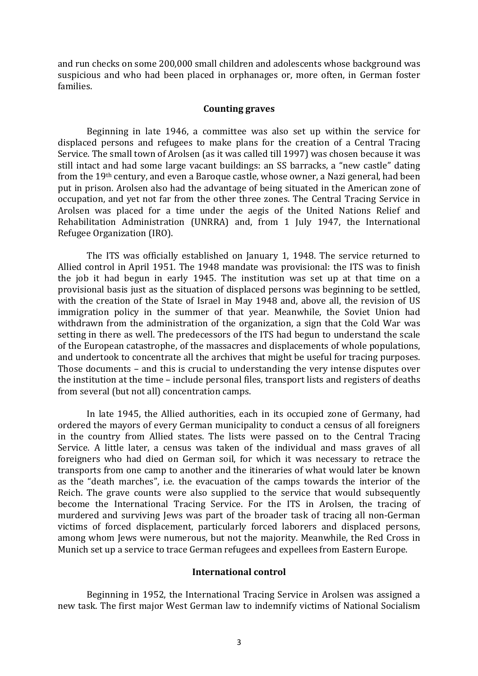and run checks on some 200,000 small children and adolescents whose background was suspicious and who had been placed in orphanages or, more often, in German foster families.

### **Counting graves**

Beginning in late 1946, a committee was also set up within the service for displaced persons and refugees to make plans for the creation of a Central Tracing Service. The small town of Arolsen (as it was called till 1997) was chosen because it was still intact and had some large vacant buildings: an SS barracks, a "new castle" dating from the 19<sup>th</sup> century, and even a Baroque castle, whose owner, a Nazi general, had been put in prison. Arolsen also had the advantage of being situated in the American zone of occupation, and yet not far from the other three zones. The Central Tracing Service in Arolsen was placed for a time under the aegis of the United Nations Relief and Rehabilitation Administration (UNRRA) and, from 1 July 1947, the International Refugee Organization (IRO).

The ITS was officially established on January 1, 1948. The service returned to Allied control in April 1951. The 1948 mandate was provisional: the ITS was to finish the job it had begun in early 1945. The institution was set up at that time on a provisional basis just as the situation of displaced persons was beginning to be settled, with the creation of the State of Israel in May 1948 and, above all, the revision of US immigration policy in the summer of that year. Meanwhile, the Soviet Union had withdrawn from the administration of the organization, a sign that the Cold War was setting in there as well. The predecessors of the ITS had begun to understand the scale of the European catastrophe, of the massacres and displacements of whole populations, and undertook to concentrate all the archives that might be useful for tracing purposes. Those documents – and this is crucial to understanding the very intense disputes over the institution at the time – include personal files, transport lists and registers of deaths from several (but not all) concentration camps.

In late 1945, the Allied authorities, each in its occupied zone of Germany, had ordered the mayors of every German municipality to conduct a census of all foreigners in the country from Allied states. The lists were passed on to the Central Tracing Service. A little later, a census was taken of the individual and mass graves of all foreigners who had died on German soil, for which it was necessary to retrace the transports from one camp to another and the itineraries of what would later be known as the "death marches", i.e. the evacuation of the camps towards the interior of the Reich. The grave counts were also supplied to the service that would subsequently become the International Tracing Service. For the ITS in Arolsen, the tracing of murdered and surviving lews was part of the broader task of tracing all non-German victims of forced displacement, particularly forced laborers and displaced persons, among whom Jews were numerous, but not the majority. Meanwhile, the Red Cross in Munich set up a service to trace German refugees and expellees from Eastern Europe.

### **International control**

Beginning in 1952, the International Tracing Service in Arolsen was assigned a new task. The first major West German law to indemnify victims of National Socialism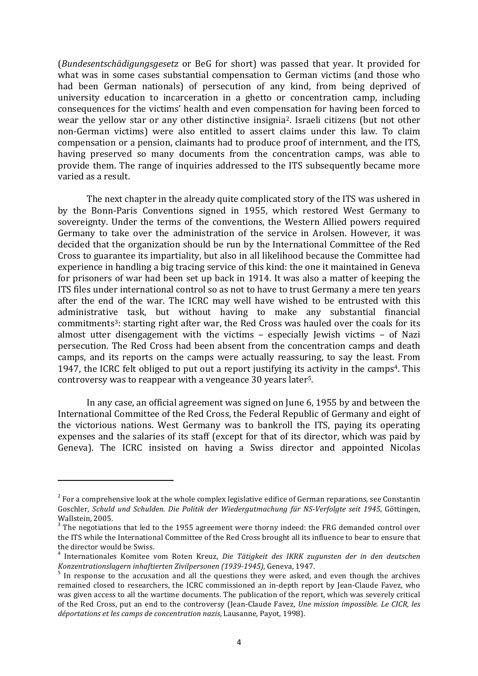(*Bundesentschädigungsgesetz* or BeG for short) was passed that year. It provided for what was in some cases substantial compensation to German victims (and those who had been German nationals) of persecution of any kind, from being deprived of university education to incarceration in a ghetto or concentration camp, including consequences for the victims' health and even compensation for having been forced to wear the vellow star or any other distinctive insignia<sup>2</sup>. Israeli citizens (but not other non-German victims) were also entitled to assert claims under this law. To claim compensation or a pension, claimants had to produce proof of internment, and the ITS, having preserved so many documents from the concentration camps, was able to provide them. The range of inquiries addressed to the ITS subsequently became more varied as a result.

The next chapter in the already quite complicated story of the ITS was ushered in by the Bonn-Paris Conventions signed in 1955, which restored West Germany to sovereignty. Under the terms of the conventions, the Western Allied powers required Germany to take over the administration of the service in Arolsen. However, it was decided that the organization should be run by the International Committee of the Red Cross to guarantee its impartiality, but also in all likelihood because the Committee had experience in handling a big tracing service of this kind: the one it maintained in Geneva for prisoners of war had been set up back in 1914. It was also a matter of keeping the ITS files under international control so as not to have to trust Germany a mere ten years after the end of the war. The ICRC may well have wished to be entrusted with this administrative task, but without having to make any substantial financial commitments<sup>3</sup>: starting right after war, the Red Cross was hauled over the coals for its almost utter disengagement with the victims – especially Jewish victims – of Nazi persecution. The Red Cross had been absent from the concentration camps and death camps, and its reports on the camps were actually reassuring, to say the least. From 1947, the ICRC felt obliged to put out a report justifying its activity in the camps<sup>4</sup>. This controversy was to reappear with a vengeance 30 years later<sup>5</sup>.

In any case, an official agreement was signed on June 6, 1955 by and between the International Committee of the Red Cross, the Federal Republic of Germany and eight of the victorious nations. West Germany was to bankroll the ITS, paying its operating expenses and the salaries of its staff (except for that of its director, which was paid by Geneva). The ICRC insisted on having a Swiss director and appointed Nicolas

 $2^2$  For a comprehensive look at the whole complex legislative edifice of German reparations, see Constantin Goschler, *Schuld und Schulden. Die Politik der Wiedergutmachung für NS-Verfolgte seit 1945*, Göttingen, Wallstein, 2005.

<sup>&</sup>lt;sup>3</sup> The negotiations that led to the 1955 agreement were thorny indeed: the FRG demanded control over the ITS while the International Committee of the Red Cross brought all its influence to bear to ensure that the director would be Swiss.

<sup>4</sup> Internationales Komitee vom Roten Kreuz, *Die Tätigkeit des IKRK zugunsten der in den deutschen Konzentrationslagern inhaftierten Zivilpersonen* (1939-1945), Geneva, 1947.<br><sup>5</sup> In response to the accusation and all the questions they were asked, and even though the archives

remained closed to researchers, the ICRC commissioned an in-depth report by Jean-Claude Favez, who was given access to all the wartime documents. The publication of the report, which was severely critical of the Red Cross, put an end to the controversy (Jean-Claude Favez, *Une mission impossible. Le CICR, les déportations et les camps de concentration nazis*, Lausanne, Payot, 1998).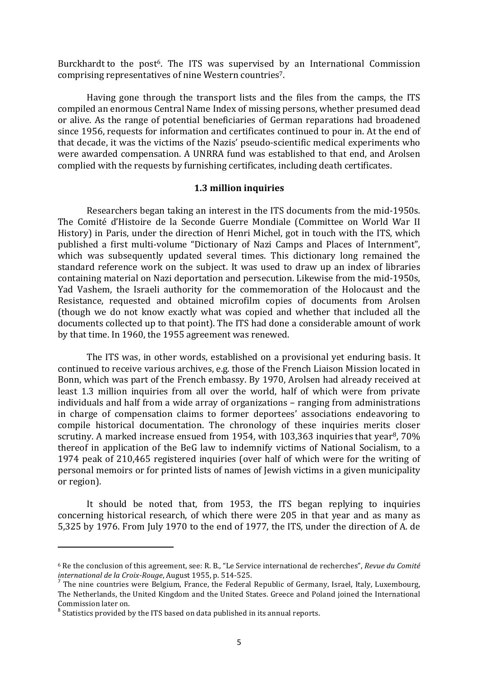Burckhardt to the post<sup>6</sup>. The ITS was supervised by an International Commission comprising representatives of nine Western countries<sup>7</sup>.

Having gone through the transport lists and the files from the camps, the ITS compiled an enormous Central Name Index of missing persons, whether presumed dead or alive. As the range of potential beneficiaries of German reparations had broadened since 1956, requests for information and certificates continued to pour in. At the end of that decade, it was the victims of the Nazis' pseudo-scientific medical experiments who were awarded compensation. A UNRRA fund was established to that end, and Arolsen complied with the requests by furnishing certificates, including death certificates.

### **1.3 million inquiries**

Researchers began taking an interest in the ITS documents from the mid-1950s. The Comité d'Histoire de la Seconde Guerre Mondiale (Committee on World War II History) in Paris, under the direction of Henri Michel, got in touch with the ITS, which published a first multi-volume "Dictionary of Nazi Camps and Places of Internment". which was subsequently updated several times. This dictionary long remained the standard reference work on the subject. It was used to draw up an index of libraries containing material on Nazi deportation and persecution. Likewise from the mid-1950s, Yad Vashem, the Israeli authority for the commemoration of the Holocaust and the Resistance, requested and obtained microfilm copies of documents from Arolsen (though we do not know exactly what was copied and whether that included all the documents collected up to that point). The ITS had done a considerable amount of work by that time. In 1960, the 1955 agreement was renewed.

The ITS was, in other words, established on a provisional vet enduring basis. It continued to receive various archives, e.g. those of the French Liaison Mission located in Bonn, which was part of the French embassy. By 1970, Arolsen had already received at least 1.3 million inquiries from all over the world, half of which were from private individuals and half from a wide array of organizations – ranging from administrations in charge of compensation claims to former deportees' associations endeavoring to compile historical documentation. The chronology of these inquiries merits closer scrutiny. A marked increase ensued from 1954, with 103,363 inquiries that year<sup>8</sup>,  $70\%$ thereof in application of the BeG law to indemnify victims of National Socialism, to a 1974 peak of 210,465 registered inquiries (over half of which were for the writing of personal memoirs or for printed lists of names of Jewish victims in a given municipality or region).

It should be noted that, from 1953, the ITS began replying to inquiries concerning historical research, of which there were 205 in that year and as many as 5,325 by 1976. From July 1970 to the end of 1977, the ITS, under the direction of A. de

 $6$  Re the conclusion of this agreement, see: R. B., "Le Service international de recherches", *Revue du Comité international de la Croix-Rouge*, August 1955, p. 514-525.<br><sup>7</sup> The nine countries were Belgium, France, the Federal Republic of Germany, Israel, Italy, Luxembourg,

The Netherlands, the United Kingdom and the United States. Greece and Poland joined the International Commission later on.

 $8$  Statistics provided by the ITS based on data published in its annual reports.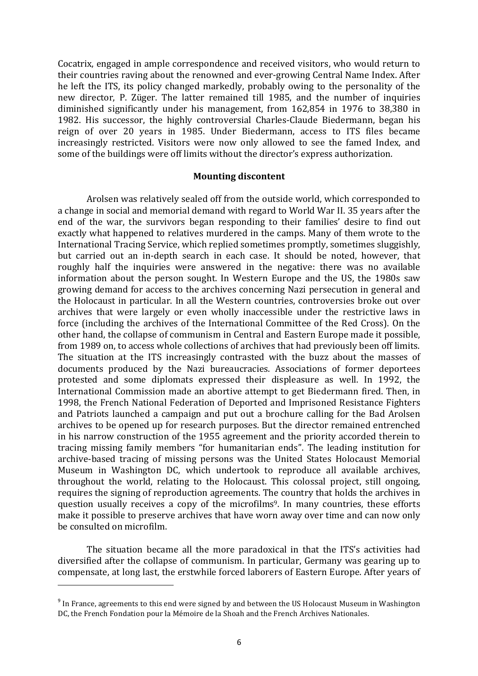Cocatrix, engaged in ample correspondence and received visitors, who would return to their countries raving about the renowned and ever-growing Central Name Index. After he left the ITS, its policy changed markedly, probably owing to the personality of the new director, P. Züger. The latter remained till 1985, and the number of inquiries diminished significantly under his management, from 162,854 in 1976 to 38,380 in 1982. His successor, the highly controversial Charles-Claude Biedermann, began his reign of over 20 years in 1985. Under Biedermann, access to ITS files became increasingly restricted. Visitors were now only allowed to see the famed Index, and some of the buildings were off limits without the director's express authorization.

## **Mounting discontent**

Arolsen was relatively sealed off from the outside world, which corresponded to a change in social and memorial demand with regard to World War II. 35 years after the end of the war, the survivors began responding to their families' desire to find out exactly what happened to relatives murdered in the camps. Many of them wrote to the International Tracing Service, which replied sometimes promptly, sometimes sluggishly, but carried out an in-depth search in each case. It should be noted, however, that roughly half the inquiries were answered in the negative: there was no available information about the person sought. In Western Europe and the US, the 1980s saw growing demand for access to the archives concerning Nazi persecution in general and the Holocaust in particular. In all the Western countries, controversies broke out over archives that were largely or even wholly inaccessible under the restrictive laws in force (including the archives of the International Committee of the Red Cross). On the other hand, the collapse of communism in Central and Eastern Europe made it possible, from 1989 on, to access whole collections of archives that had previously been off limits. The situation at the ITS increasingly contrasted with the buzz about the masses of documents produced by the Nazi bureaucracies. Associations of former deportees protested and some diplomats expressed their displeasure as well. In 1992, the International Commission made an abortive attempt to get Biedermann fired. Then, in 1998, the French National Federation of Deported and Imprisoned Resistance Fighters and Patriots launched a campaign and put out a brochure calling for the Bad Arolsen archives to be opened up for research purposes. But the director remained entrenched in his narrow construction of the 1955 agreement and the priority accorded therein to tracing missing family members "for humanitarian ends". The leading institution for archive-based tracing of missing persons was the United States Holocaust Memorial Museum in Washington DC, which undertook to reproduce all available archives, throughout the world, relating to the Holocaust. This colossal project, still ongoing, requires the signing of reproduction agreements. The country that holds the archives in question usually receives a copy of the microfilms<sup>9</sup>. In many countries, these efforts make it possible to preserve archives that have worn away over time and can now only be consulted on microfilm.

The situation became all the more paradoxical in that the ITS's activities had diversified after the collapse of communism. In particular, Germany was gearing up to compensate, at long last, the erstwhile forced laborers of Eastern Europe. After years of

 $9$  In France, agreements to this end were signed by and between the US Holocaust Museum in Washington DC, the French Fondation pour la Mémoire de la Shoah and the French Archives Nationales.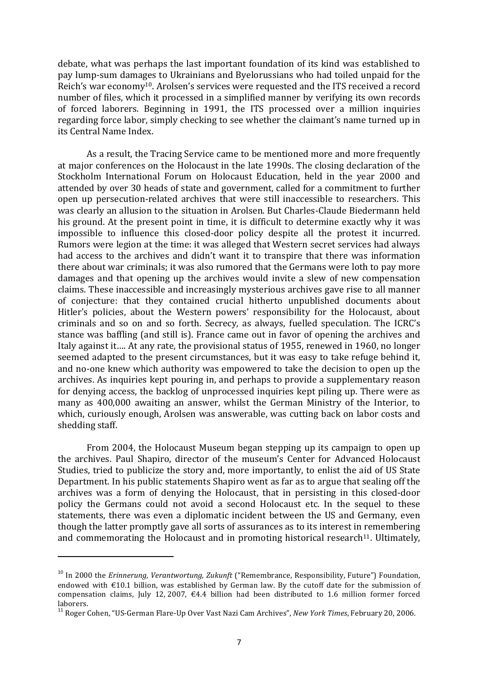debate, what was perhaps the last important foundation of its kind was established to pay lump-sum damages to Ukrainians and Byelorussians who had toiled unpaid for the Reich's war economy<sup>10</sup>. Arolsen's services were requested and the ITS received a record number of files, which it processed in a simplified manner by verifying its own records of forced laborers. Beginning in 1991, the ITS processed over a million inquiries regarding force labor, simply checking to see whether the claimant's name turned up in its Central Name Index.

As a result, the Tracing Service came to be mentioned more and more frequently at major conferences on the Holocaust in the late 1990s. The closing declaration of the Stockholm International Forum on Holocaust Education, held in the year 2000 and attended by over 30 heads of state and government, called for a commitment to further open up persecution-related archives that were still inaccessible to researchers. This was clearly an allusion to the situation in Arolsen. But Charles-Claude Biedermann held his ground. At the present point in time, it is difficult to determine exactly why it was impossible to influence this closed-door policy despite all the protest it incurred. Rumors were legion at the time: it was alleged that Western secret services had always had access to the archives and didn't want it to transpire that there was information there about war criminals; it was also rumored that the Germans were loth to pay more damages and that opening up the archives would invite a slew of new compensation claims. These inaccessible and increasingly mysterious archives gave rise to all manner of conjecture: that they contained crucial hitherto unpublished documents about Hitler's policies, about the Western powers' responsibility for the Holocaust, about criminals and so on and so forth. Secrecy, as always, fuelled speculation. The ICRC's stance was baffling (and still is). France came out in favor of opening the archives and Italy against it.... At any rate, the provisional status of 1955, renewed in 1960, no longer seemed adapted to the present circumstances, but it was easy to take refuge behind it, and no-one knew which authority was empowered to take the decision to open up the archives. As inquiries kept pouring in, and perhaps to provide a supplementary reason for denying access, the backlog of unprocessed inquiries kept piling up. There were as many as 400,000 awaiting an answer, whilst the German Ministry of the Interior, to which, curiously enough, Arolsen was answerable, was cutting back on labor costs and shedding staff.

From 2004, the Holocaust Museum began stepping up its campaign to open up the archives. Paul Shapiro, director of the museum's Center for Advanced Holocaust Studies, tried to publicize the story and, more importantly, to enlist the aid of US State Department. In his public statements Shapiro went as far as to argue that sealing off the archives was a form of denying the Holocaust, that in persisting in this closed-door policy the Germans could not avoid a second Holocaust etc. In the sequel to these statements, there was even a diplomatic incident between the US and Germany, even though the latter promptly gave all sorts of assurances as to its interest in remembering and commemorating the Holocaust and in promoting historical research<sup>11</sup>. Ultimately,

<sup>&</sup>lt;sup>10</sup> In 2000 the *Erinnerung, Verantwortung, Zukunft* ("Remembrance, Responsibility, Future") Foundation, endowed with  $\epsilon$ 10.1 billion, was established by German law. By the cutoff date for the submission of compensation claims, July 12, 2007,  $\epsilon$ 4.4 billion had been distributed to 1.6 million former forced laborers.

<sup>&</sup>lt;sup>11</sup> Roger Cohen, "US-German Flare-Up Over Vast Nazi Cam Archives", *New York Times*, February 20, 2006.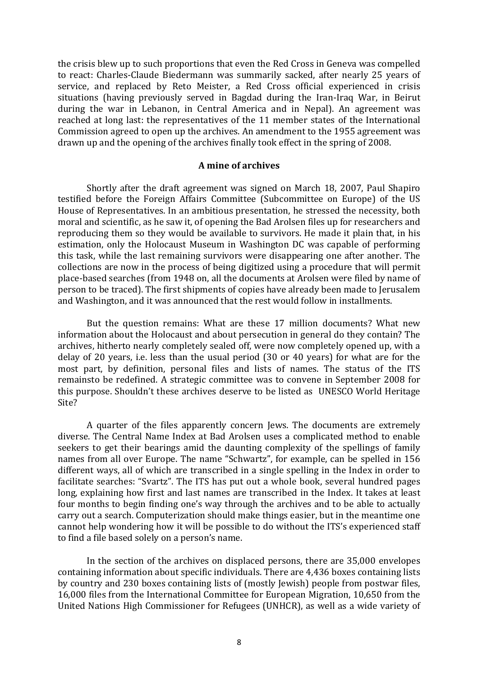the crisis blew up to such proportions that even the Red Cross in Geneva was compelled to react: Charles-Claude Biedermann was summarily sacked, after nearly 25 years of service, and replaced by Reto Meister, a Red Cross official experienced in crisis situations (having previously served in Bagdad during the Iran-Iraq War, in Beirut during the war in Lebanon, in Central America and in Nepal). An agreement was reached at long last: the representatives of the 11 member states of the International Commission agreed to open up the archives. An amendment to the 1955 agreement was drawn up and the opening of the archives finally took effect in the spring of 2008.

## **A mine of archives**

Shortly after the draft agreement was signed on March 18, 2007, Paul Shapiro testified before the Foreign Affairs Committee (Subcommittee on Europe) of the US House of Representatives. In an ambitious presentation, he stressed the necessity, both moral and scientific, as he saw it, of opening the Bad Arolsen files up for researchers and reproducing them so they would be available to survivors. He made it plain that, in his estimation, only the Holocaust Museum in Washington DC was capable of performing this task, while the last remaining survivors were disappearing one after another. The collections are now in the process of being digitized using a procedure that will permit place-based searches (from 1948 on, all the documents at Arolsen were filed by name of person to be traced). The first shipments of copies have already been made to Jerusalem and Washington, and it was announced that the rest would follow in installments.

But the question remains: What are these 17 million documents? What new information about the Holocaust and about persecution in general do they contain? The archives, hitherto nearly completely sealed off, were now completely opened up, with a delay of 20 years, i.e. less than the usual period (30 or 40 years) for what are for the most part, by definition, personal files and lists of names. The status of the ITS remainsto be redefined. A strategic committee was to convene in September 2008 for this purpose. Shouldn't these archives deserve to be listed as UNESCO World Heritage Site?

A quarter of the files apparently concern Jews. The documents are extremely diverse. The Central Name Index at Bad Arolsen uses a complicated method to enable seekers to get their bearings amid the daunting complexity of the spellings of family names from all over Europe. The name "Schwartz", for example, can be spelled in 156 different ways, all of which are transcribed in a single spelling in the Index in order to facilitate searches: "Svartz". The ITS has put out a whole book, several hundred pages long, explaining how first and last names are transcribed in the Index. It takes at least four months to begin finding one's way through the archives and to be able to actually carry out a search. Computerization should make things easier, but in the meantime one cannot help wondering how it will be possible to do without the ITS's experienced staff to find a file based solely on a person's name.

In the section of the archives on displaced persons, there are 35,000 envelopes containing information about specific individuals. There are 4,436 boxes containing lists by country and 230 boxes containing lists of (mostly Jewish) people from postwar files, 16,000 files from the International Committee for European Migration, 10,650 from the United Nations High Commissioner for Refugees (UNHCR), as well as a wide variety of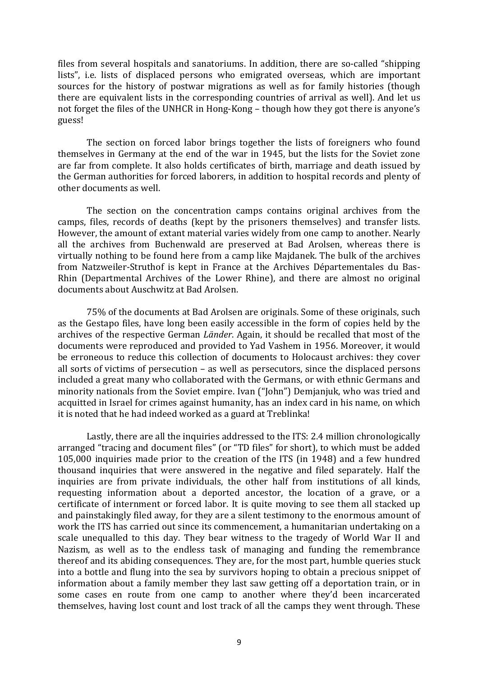files from several hospitals and sanatoriums. In addition, there are so-called "shipping lists", i.e. lists of displaced persons who emigrated overseas, which are important sources for the history of postwar migrations as well as for family histories (though there are equivalent lists in the corresponding countries of arrival as well). And let us not forget the files of the UNHCR in Hong-Kong – though how they got there is anyone's guess!

The section on forced labor brings together the lists of foreigners who found themselves in Germany at the end of the war in 1945, but the lists for the Soviet zone are far from complete. It also holds certificates of birth, marriage and death issued by the German authorities for forced laborers, in addition to hospital records and plenty of other documents as well.

The section on the concentration camps contains original archives from the camps, files, records of deaths (kept by the prisoners themselves) and transfer lists. However, the amount of extant material varies widely from one camp to another. Nearly all the archives from Buchenwald are preserved at Bad Arolsen, whereas there is virtually nothing to be found here from a camp like Majdanek. The bulk of the archives from Natzweiler-Struthof is kept in France at the Archives Départementales du Bas-Rhin (Departmental Archives of the Lower Rhine), and there are almost no original documents about Auschwitz at Bad Arolsen.

75% of the documents at Bad Arolsen are originals. Some of these originals, such as the Gestapo files, have long been easily accessible in the form of copies held by the archives of the respective German *Länder*. Again, it should be recalled that most of the documents were reproduced and provided to Yad Vashem in 1956. Moreover, it would be erroneous to reduce this collection of documents to Holocaust archives: they cover all sorts of victims of persecution  $-$  as well as persecutors, since the displaced persons included a great many who collaborated with the Germans, or with ethnic Germans and minority nationals from the Soviet empire. Ivan ("John") Demjanjuk, who was tried and acquitted in Israel for crimes against humanity, has an index card in his name, on which it is noted that he had indeed worked as a guard at Treblinka!

Lastly, there are all the inquiries addressed to the ITS: 2.4 million chronologically arranged "tracing and document files" (or "TD files" for short), to which must be added 105,000 inquiries made prior to the creation of the ITS (in 1948) and a few hundred thousand inquiries that were answered in the negative and filed separately. Half the inquiries are from private individuals, the other half from institutions of all kinds, requesting information about a deported ancestor, the location of a grave, or a certificate of internment or forced labor. It is quite moving to see them all stacked up and painstakingly filed away, for they are a silent testimony to the enormous amount of work the ITS has carried out since its commencement, a humanitarian undertaking on a scale unequalled to this day. They bear witness to the tragedy of World War II and Nazism, as well as to the endless task of managing and funding the remembrance thereof and its abiding consequences. They are, for the most part, humble queries stuck into a bottle and flung into the sea by survivors hoping to obtain a precious snippet of information about a family member they last saw getting off a deportation train, or in some cases en route from one camp to another where they'd been incarcerated themselves, having lost count and lost track of all the camps they went through. These